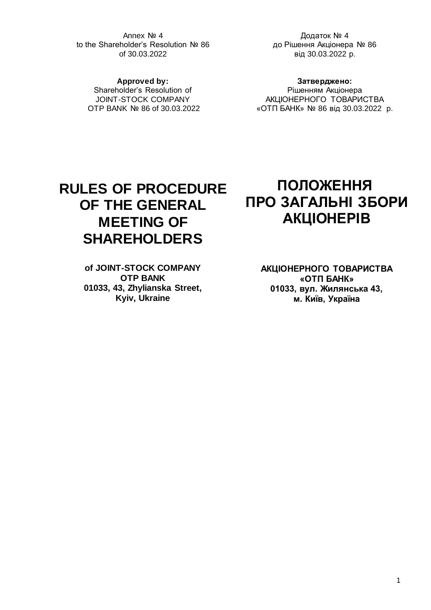Annex № 4 to the Shareholder's Resolution № 86 of 30.03.2022

Додаток № 4 до Рішення Акціонера № 86 від 30.03.2022 р.

**Approved by:** Shareholder's Resolution of JOINT-STOCK COMPANY OTP BANK № 86 of 30.03.2022

**Затверджено:** Рішенням Акціонера АКЦІОНЕРНОГО ТОВАРИСТВА «ОТП БАНК» № 86 від 30.03.2022 р.

# **RULES OF PROCEDURE OF THE GENERAL MEETING OF SHAREHOLDERS**

**of JOINT-STOCK COMPANY OTP BANK 01033, 43, Zhylianska Street, Kyiv, Ukraine**

# **ПОЛОЖЕННЯ ПРО ЗАГАЛЬНІ ЗБОРИ АКЦІОНЕРІВ**

**АКЦІОНЕРНОГО ТОВАРИСТВА «ОТП БАНК» 01033, вул. Жилянська 43, м. Київ, Україна**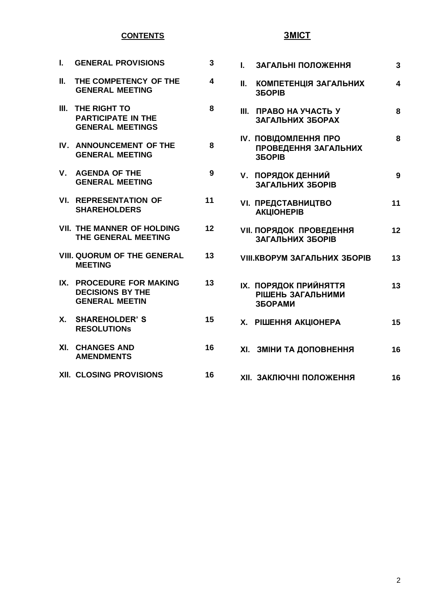# **CONTENTS**

| L. | <b>GENERAL PROVISIONS</b>                                                    | 3  |
|----|------------------------------------------------------------------------------|----|
|    | II. THE COMPETENCY OF THE<br><b>GENERAL MEETING</b>                          | 4  |
|    | III. THE RIGHT TO<br><b>PARTICIPATE IN THE</b><br><b>GENERAL MEETINGS</b>    | 8  |
|    | IV. ANNOUNCEMENT OF THE<br><b>GENERAL MEETING</b>                            | 8  |
|    | V. AGENDA OF THE<br><b>GENERAL MEETING</b>                                   | 9  |
|    | <b>VI. REPRESENTATION OF</b><br><b>SHAREHOLDERS</b>                          | 11 |
|    | <b>VII. THE MANNER OF HOLDING</b><br>THE GENERAL MEETING                     | 12 |
|    | <b>VIII. QUORUM OF THE GENERAL</b><br><b>MEETING</b>                         | 13 |
|    | IX. PROCEDURE FOR MAKING<br><b>DECISIONS BY THE</b><br><b>GENERAL MEETIN</b> | 13 |
|    | X. SHAREHOLDER'S<br><b>RESOLUTIONS</b>                                       | 15 |
|    | XI. CHANGES AND<br><b>AMENDMENTS</b>                                         | 16 |
|    | <b>XII. CLOSING PROVISIONS</b>                                               | 16 |

# **ЗМІСТ**

|  | <b>I. ЗАГАЛЬНІ ПОЛОЖЕННЯ</b>                                                | 3                       |
|--|-----------------------------------------------------------------------------|-------------------------|
|  | <b>II. КОМПЕТЕНЦІЯ ЗАГАЛЬНИХ</b><br><b>35OPIB</b>                           | $\overline{\mathbf{4}}$ |
|  | <b>III. ПРАВО НА УЧАСТЬ У</b><br>ЗАГАЛЬНИХ ЗБОРАХ                           | 8                       |
|  | <b>IV. ПОВІДОМЛЕННЯ ПРО</b><br><b>ПРОВЕДЕННЯ ЗАГАЛЬНИХ</b><br><b>35OPIB</b> | 8                       |
|  | <b>V. ПОРЯДОК ДЕННИЙ</b><br>ЗАГАЛЬНИХ ЗБОРІВ                                | 9                       |
|  | <b>VI. ПРЕДСТАВНИЦТВО</b><br><b>АКЦІОНЕРІВ</b>                              | 11                      |
|  | <b>VII. ПОРЯДОК ПРОВЕДЕННЯ</b><br>ЗАГАЛЬНИХ ЗБОРІВ                          | 12                      |
|  | <b>VIII.KBOPYM ЗАГАЛЬНИХ ЗБОРІВ</b>                                         | 13                      |
|  | <b>IX. ПОРЯДОК ПРИЙНЯТТЯ</b><br>РІШЕНЬ ЗАГАЛЬНИМИ<br><b>ЗБОРАМИ</b>         | 13                      |
|  | Х. РІШЕННЯ АКЦІОНЕРА                                                        | 15                      |
|  | ХІ. ЗМІНИ ТА ДОПОВНЕННЯ                                                     | 16                      |
|  | ХІІ. ЗАКЛЮЧНІ ПОЛОЖЕННЯ                                                     | 16                      |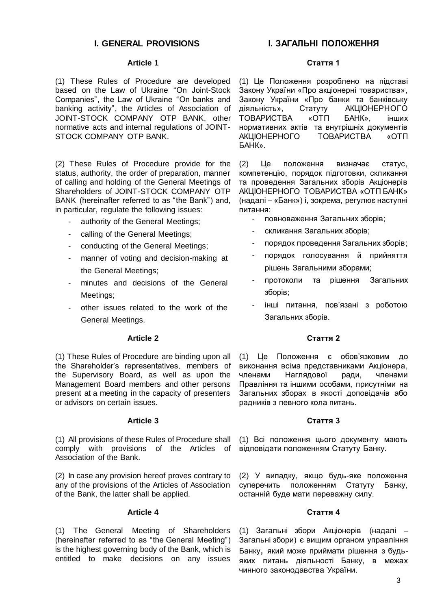## **I. GENERAL PROVISIONS**

## **Article 1**

(1) These Rules of Procedure are developed based on the Law of Ukraine "On Joint-Stock Companies", the Law of Ukraine "On banks and banking activity", the Articles of Association of JOINT-STOCK COMPANY OTP BANK, other normative acts and internal regulations of JOINT-STOCK COMPANY OTP BANK.

(2) These Rules of Procedure provide for the status, authority, the order of preparation, manner of calling and holding of the General Meetings of Shareholders of JOINT-STOCK COMPANY OTP BANK (hereinafter referred to as "the Bank") and, in particular, regulate the following issues:

- authority of the General Meetings;
- calling of the General Meetings;
- conducting of the General Meetings;
- manner of voting and decision-making at the General Meetings;
- minutes and decisions of the General Meetings;
- other issues related to the work of the General Meetings.

## **Article 2**

(1) These Rules of Procedure are binding upon all the Shareholder's representatives, members of the Supervisory Board, as well as upon the Management Board members and other persons present at a meeting in the capacity of presenters or advisors on certain issues.

#### **Article 3**

(1) All provisions of these Rules of Procedure shall comply with provisions of the Articles of Association of the Bank.

(2) In case any provision hereof proves contrary to any of the provisions of the Articles of Association of the Bank, the latter shall be applied.

### **Article 4**

(1) The General Meeting of Shareholders (hereinafter referred to as "the General Meeting") is the highest governing body of the Bank, which is entitled to make decisions on any issues

# **І. ЗАГАЛЬНІ ПОЛОЖЕННЯ**

#### **Стаття 1**

(1) Це Положення розроблено на підставі Закону України «Про акціонерні товариства», Закону України «Про банки та банківську діяльність», Статуту АКЦІОНЕРНОГО ТОВАРИСТВА «ОТП БАНК», інших нормативних актів та внутрішніх документів АКЦІОНЕРНОГО ТОВАРИСТВА «ОТП БАНК».

(2) Це положення визначає статус, компетенцію, порядок підготовки, скликання та проведення Загальних зборів Акціонерів АКЦІОНЕРНОГО ТОВАРИСТВА «ОТП БАНК» (надалі – «Банк») і, зокрема, регулює наступні питання:

- повноваження Загальних зборів;
- скликання Загальних зборів;
- порядок проведення Загальних зборів;
- порядок голосування й прийняття рішень Загальними зборами;
- протоколи та рішення Загальних зборів;
- інші питання, пов'язані з роботою Загальних зборів.

## **Стаття 2**

(1) Це Положення є обов'язковим до виконання всіма представниками Акціонера, членами Наглядової pади, членами Правління та іншими особами, присутніми на Загальних зборах в якості доповідачів або радників з певного кола питань.

#### **Стаття 3**

(1) Всі положення цього документу мають відповідати положенням Статуту Банку.

(2) У випадку, якщо будь-яке положення суперечить положенням Статуту Банку, останній буде мати переважну силу.

#### **Стаття 4**

(1) Загальні збори Акціонерів (надалі – Загальні збори) є вищим органом управління Банку, який може приймати рішення з будьяких питань діяльності Банку, в межах чинного законодавства України.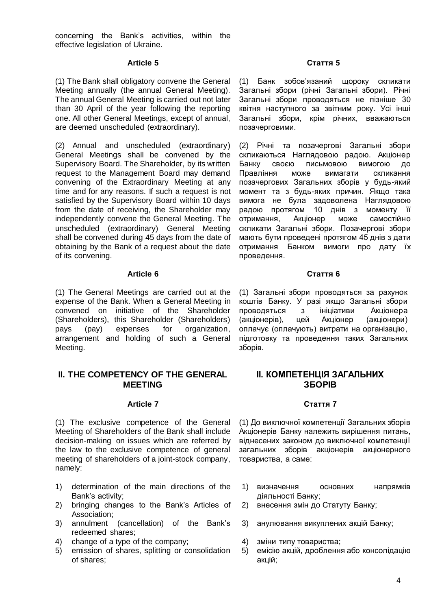concerning the Bank's activities, within the effective legislation of Ukraine.

#### **Article 5**

(1) The Bank shall obligatory convene the General Meeting annually (the annual General Meeting). The annual General Meeting is carried out not later than 30 April of the year following the reporting one. All other General Meetings, except of annual, are deemed unscheduled (extraordinary).

(2) Annual and unscheduled (extraordinary) General Meetings shall be convened by the Supervisory Board. The Shareholder, by its written request to the Management Board may demand convening of the Extraordinary Meeting at any time and for any reasons. If such a request is not satisfied by the Supervisory Board within 10 days from the date of receiving, the Shareholder may independently convene the General Meeting. The unscheduled (extraordinary) General Meeting shall be convened during 45 days from the date of obtaining by the Bank of a request about the date of its convening.

#### **Article 6**

(1) The General Meetings are carried out at the expense of the Bank. When a General Meeting in convened on initiative of the Shareholder (Shareholders), this Shareholder (Shareholders) pays (pay) expenses for organization, arrangement and holding of such a General Meeting.

## **II. THE COMPETENCY OF THE GENERAL MEETING**

#### **Article 7**

(1) The exclusive competence of the General Meeting of Shareholders of the Bank shall include decision-making on issues which are referred by the law to the exclusive competence of general meeting of shareholders of a joint-stock company, namely:

- 1) determination of the main directions of the Bank's activity;
- 2) bringing changes to the Bank's Articles of Association;
- 3) annulment (cancellation) of the Bank's redeemed shares;
- 4) change of a type of the company;
- 5) emission of shares, splitting or consolidation of shares;

#### **Стаття 5**

(1) Банк зобов'язаний щороку скликати Загальні збори (річні Загальні збори). Річні Загальні збори проводяться не пізніше 30 квітня наступного за звітним року. Усі інші Загальні збори, крім річних, вважаються позачерговими.

(2) Річні та позачергові Загальні збори скликаються Наглядовою радою. Акціонер Банку своєю письмовою вимогою до Правління може вимагати скликання позачергових Загальних зборів у будь-який момент та з будь-яких причин. Якщо така вимога не була задоволена Наглядовою радою протягом 10 днів з моменту її отримання, Акціонер може самостійно скликати Загальні збори. Позачергові збори мають бути проведені протягом 45 днів з дати отримання Банком вимоги про дату їх проведення.

#### **Стаття 6**

(1) Загальні збори проводяться за рахунок коштів Банку. У разі якщо Загальні збори проводяться з ініціативи Акціонера (акціонерів), цей Акціонер (акціонери) оплачує (оплачують) витрати на організацію, підготовку та проведення таких Загальних зборів.

## **ІІ. КОМПЕТЕНЦІЯ ЗАГАЛЬНИХ ЗБОРІВ**

#### **Стаття 7**

(1) До виключної компетенції Загальних зборів Акціонерів Банку належить вирішення питань, віднесених законом до виключної компетенції загальних зборів акціонерів акціонерного товариства, а саме:

- 1) визначення основних напрямків діяльності Банку;
- 2) внесення змін до Статуту Банку;
- 3) анулювання викуплених акцій Банку;
- 4) зміни типу товариства;
- 5) емісію акцій, дроблення або консолідацію акцій;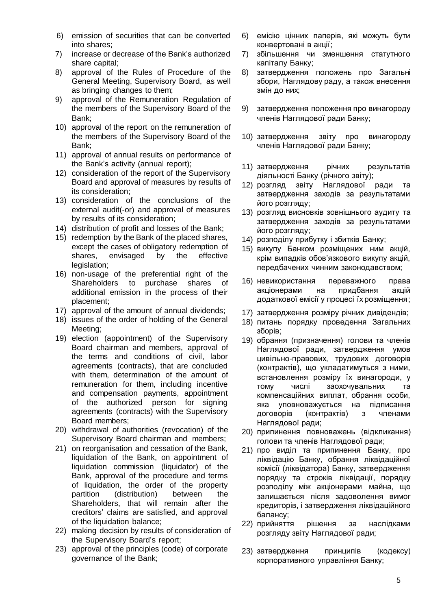- 6) emission of securities that can be converted into shares;
- 7) increase or decrease of the Bank's authorized share capital;
- 8) approval of the Rules of Procedure of the General Meeting, Supervisory Board, as well as bringing changes to them;
- 9) approval of the Remuneration Regulation of the members of the Supervisory Board of the Bank;
- 10) approval of the report on the remuneration of the members of the Supervisory Board of the Bank;
- 11) approval of annual results on performance of the Bank's activity (annual report);
- 12) consideration of the report of the Supervisory Board and approval of measures by results of its consideration;
- 13) consideration of the conclusions of the external audit(-or) and approval of measures by results of its consideration;
- 14) distribution of profit and losses of the Bank;
- 15) redemption by the Bank of the placed shares, except the cases of obligatory redemption of shares, envisaged by the effective legislation;
- 16) non-usage of the preferential right of the Shareholders to purchase shares of additional emission in the process of their placement;
- 17) approval of the amount of annual dividends;
- 18) issues of the order of holding of the General Meeting;
- 19) election (appointment) of the Supervisory Board chairman and members, approval of the terms and conditions of civil, labor agreements (contracts), that are concluded with them, determination of the amount of remuneration for them, including incentive and compensation payments, appointment of the authorized person for signing agreements (contracts) with the Supervisory Board members;
- 20) withdrawal of authorities (revocation) of the Supervisory Board chairman and members;
- 21) on reorganisation and cessation of the Bank, liquidation of the Bank, on appointment of liquidation commission (liquidator) of the Bank, approval of the procedure and terms of liquidation, the order of the property partition (distribution) between the Shareholders, that will remain after the creditors' claims are satisfied, and approval of the liquidation balance;
- 22) making decision by results of consideration of the Supervisory Board's report;
- 23) approval of the principles (code) of corporate governance of the Bank;
- 6) емісію цінних паперів, які можуть бути конвертовані в акції;
- 7) збільшення чи зменшення статутного капіталу Банку;
- 8) затвердження положень про Загальні збори, Наглядову раду, а також внесення змін до них;
- 9) затвердження положення про винагороду членів Наглядової ради Банку;
- 10) затвердження звіту про винагороду членів Наглядової ради Банку;
- 11) затвердження річних результатів діяльності Банку (річного звіту);
- 12) розгляд звіту Наглядової ради та затвердження заходів за результатами його розгляду;
- 13) розгляд висновків зовнішнього аудиту та затвердження заходів за результатами його розгляду;
- 14) розподілу прибутку і збитків Банку;
- 15) викупу Банком розміщених ним акцій, крім випадків обов'язкового викупу акцій, передбачених чинним законодавством;
- 16) невикористання переважного права акціонерами на придбання акцій додаткової емісії у процесі їх розміщення;
- 17) затвердження розміру річних дивідендів;
- 18) питань порядку проведення Загальних зборів;
- 19) обрання (призначення) голови та членів Наглядової ради, затвердження умов цивільно-правових, трудових договорів (контрактів), що укладатимуться з ними, встановлення розміру їх винагороди, у тому числі заохочувальних та компенсаційних виплат, обрання особи, яка уповноважується на підписання договорів (контрактів) з членами Наглядової ради;
- 20) припинення повноважень (відкликання) голови та членів Наглядової ради;
- 21) про виділ та припинення Банку, про ліквідацію Банку, обрання ліквідаційної комісії (ліквідатора) Банку, затвердження порядку та строків ліквідації, порядку розподілу між акціонерами майна, що залишається після задоволення вимог кредиторів, і затвердження ліквідаційного балансу;
- 22) прийняття рішення за наслідками розгляду звіту Наглядової ради;
- 23) затвердження принципів (кодексу) корпоративного управління Банку;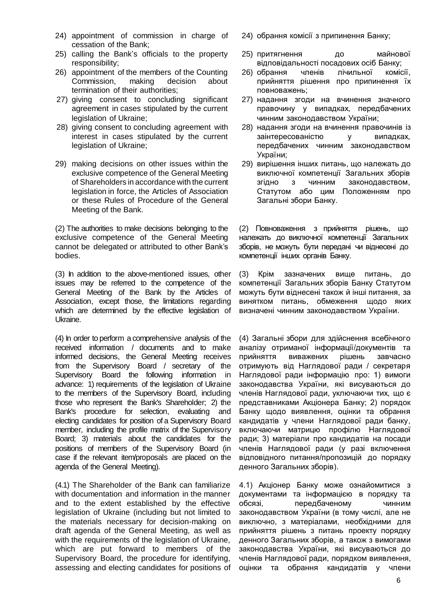- 24) appointment of commission in charge of cessation of the Bank;
- 25) calling the Bank's officials to the property responsibility;
- 26) appointment of the members of the Counting Commission, making decision about termination of their authorities;
- 27) giving consent to concluding significant agreement in cases stipulated by the current legislation of Ukraine;
- 28) giving consent to concluding agreement with interest in cases stipulated by the current legislation of Ukraine;
- 29) making decisions on other issues within the exclusive competence of the General Meeting of Shareholders in accordance with the current legislation in force, the Articles of Association or these Rules of Procedure of the General Meeting of the Bank.

(2) The authorities to make decisions belonging to the exclusive competence of the General Meeting cannot be delegated or attributed to other Bank's bodies.

(3) In addition to the above-mentioned issues, other issues may be referred to the competence of the General Meeting of the Bank by the Articles of Association, except those, the limitations regarding which are determined by the effective legislation of Ukraine.

(4) In order to perform a comprehensive analysis of the received information / documents and to make informed decisions, the General Meeting receives from the Supervisory Board / secretary of the Supervisory Board the following information in advance: 1) requirements of the legislation of Ukraine to the members of the Supervisory Board, including those who represent the Bank's Shareholder; 2) the Bank's procedure for selection, evaluating and electing candidates for position of a Supervisory Board member, including the profile matrix of the Supervisory Board; 3) materials about the candidates for the positions of members of the Supervisory Board (in case if the relevant item/proposals are placed on the agenda of the General Meeting).

(4.1) The Shareholder of the Bank can familiarize with documentation and information in the manner and to the extent established by the effective legislation of Ukraine (including but not limited to the materials necessary for decision-making on draft agenda of the General Meeting, as well as with the requirements of the legislation of Ukraine, which are put forward to members of the Supervisory Board, the procedure for identifying, assessing and electing candidates for positions of

- 24) обрання комісії з припинення Банку;
- 25) притягнення до майнової відповідальності посадових осіб Банку;
- 26) обрання членів лічильної комісії, прийняття рішення про припинення їх повноважень;
- 27) надання згоди на вчинення значного правочину у випадках, передбачених чинним законодавством України;
- 28) надання згоди на вчинення правочинів із заінтересованістю у випадках, передбачених чинним законодавством України;
- 29) вирішення інших питань, що належать до виключної компетенції Загальних зборів згідно з чинним законодавством, Статутом або цим Положенням про Загальні збори Банку.

(2) Повноваження з прийняття рішень, що належать до виключної компетенції Загальних зборів, не можуть бути передані чи віднесені до компетенції інших органів Банку.

(3) Крім зазначених вище питань, до компетенції Загальних зборів Банку Статутом можуть бути віднесені також й інші питання, за винятком питань, обмеження щодо яких визначені чинним законодавством України.

(4) Загальні збори для здійснення всебічного аналізу отриманої інформації/документів та прийняття виважених рішень завчасно отримують від Наглядової ради / секретаря Наглядової ради інформацію про: 1) вимоги законодавства України, які висуваються до членів Наглядової ради, уключаючи тих, що є представниками Акціонера Банку; 2) порядок Банку щодо виявлення, оцінки та обрання кандидатів у члени Наглядової ради банку, включаючи матрицю профілю Наглядової ради; 3) матеріали про кандидатів на посади членів Наглядової ради (у разі включення відповідного питання/пропозицій до порядку денного Загальних зборів).

4.1) Акціонер Банку може ознайомитися з документами та інформацією в порядку та обсязі, передбаченому чинним законодавством України (в тому числі, але не виключно, з матеріалами, необхідними для прийняття рішень з питань проекту порядку денного Загальних зборів, а також з вимогами законодавства України, які висуваються до членів Наглядової ради, порядком виявлення, оцінки та обрання кандидатів у члени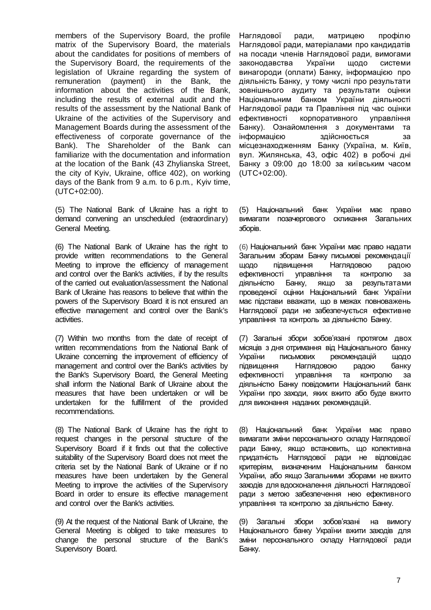members of the Supervisory Board, the profile matrix of the Supervisory Board, the materials about the candidates for positions of members of the Supervisory Board, the requirements of the legislation of Ukraine regarding the system of remuneration (payment) in the Bank, the information about the activities of the Bank, including the results of external audit and the results of the assessment by the National Bank of Ukraine of the activities of the Supervisory and Management Boards during the assessment of the effectiveness of corporate governance of the Bank). The Shareholder of the Bank can familiarize with the documentation and information at the location of the Bank (43 Zhylianska Street, the city of Kyiv, Ukraine, office 402), on working days of the Bank from 9 a.m. to 6 p.m., Kyiv time, (UTC+02:00).

(5) The National Bank of Ukraine has a right to demand convening an unscheduled (extraordinary) General Meeting.

(6) The National Bank of Ukraine has the right to provide written recommendations to the General Meeting to improve the efficiency of management and control over the Bank's activities, if by the results of the carried out evaluation/assessment the National Bank of Ukraine has reasons to believe that within the powers of the Supervisory Board it is not ensured an effective management and control over the Bank's activities.

(7) Within two months from the date of receipt of written recommendations from the National Bank of Ukraine concerning the improvement of efficiency of management and control over the Bank's activities by the Bank's Supervisory Board, the General Meeting shall inform the National Bank of Ukraine about the measures that have been undertaken or will be undertaken for the fulfillment of the provided recommendations.

(8) The National Bank of Ukraine has the right to request changes in the personal structure of the Supervisory Board if it finds out that the collective suitability of the Supervisory Board does not meet the criteria set by the National Bank of Ukraine or if no measures have been undertaken by the General Meeting to improve the activities of the Supervisory Board in order to ensure its effective management and control over the Bank's activities.

(9) At the request of the National Bank of Ukraine, the General Meeting is obliged to take measures to change the personal structure of the Bank's Supervisory Board.

Наглядової ради, матрицею профілю Наглядової ради, матеріалами про кандидатів на посади членів Наглядової ради, вимогами законодавства України щодо системи винагороди (оплати) Банку, інформацією про діяльність Банку, у тому числі про результати зовнішнього аудиту та результати оцінки Національним банком України діяльності Наглядової ради та Правління під час оцінки ефективності корпоративного управління Банку). Ознайомлення з документами та інформацією здійснюється за місцезнаходженням Банку (Україна, м. Київ, вул. Жилянська, 43, офіс 402) в робочі дні Банку з 09:00 до 18:00 за київським часом (UTC+02:00).

(5) Національний банк України має право вимагати позачергового скликання Загальних зборів.

(6) Національний банк України має право надати Загальним зборам Банку письмові рекомендації щодо підвищення Наглядовою радою ефективності управління та контролю за діяльністю Банку, якщо за результатами проведеної оцінки Національний банк України має підстави вважати, що в межах повноважень Наглядової ради не забезпечується ефективне управління та контроль за діяльністю Банку.

(7) Загальні збори зобов'язані протягом двох місяців з дня отримання від Національного банку України письмових рекомендацій щодо підвищення Наглядовою радою банку ефективності управління та контролю за діяльністю Банку повідомити Національний банк України про заходи, яких вжито або буде вжито для виконання наданих рекомендацій.

(8) Національний банк України має право вимагати зміни персонального складу Наглядової ради Банку, якщо встановить, що колективна придатність Наглядової ради не відповідає критеріям, визначеним Національним банком України, або якщо Загальними зборами не вжито заходів для вдосконалення діяльності Наглядової ради з метою забезпечення нею ефективного управління та контролю за діяльністю Банку.

(9) Загальні збори зобов'язані на вимогу Національного банку України вжити заходів для зміни персонального складу Наглядової ради Банку.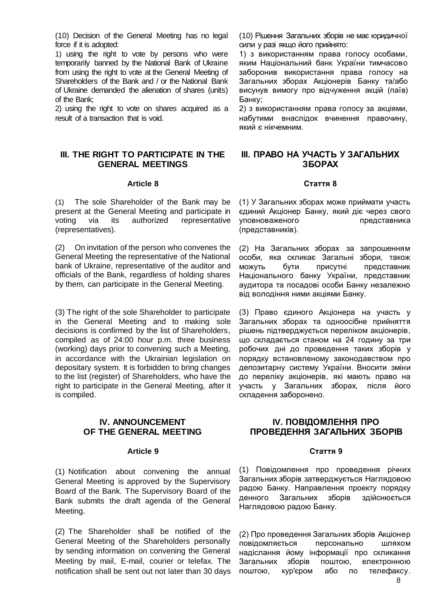(10) Decision of the General Meeting has no legal force if it is adopted:

1) using the right to vote by persons who were temporarily banned by the National Bank of Ukraine from using the right to vote at the General Meeting of Shareholders of the Bank and / or the National Bank of Ukraine demanded the alienation of shares (units) of the Bank;

2) using the right to vote on shares acquired as a result of a transaction that is void.

## **III. THE RIGHT TO PARTICIPATE IN THE GENERAL MEETINGS**

#### **Article 8**

(1) The sole Shareholder of the Bank may be present at the General Meeting and participate in voting via its authorized representative (representatives).

(2) On invitation of the person who convenes the General Meeting the representative of the National bank of Ukraine, representative of the auditor and officials of the Bank, regardless of holding shares by them, can participate in the General Meeting.

(3) The right of the sole Shareholder to participate in the General Meeting and to making sole decisions is confirmed by the list of Shareholders, compiled as of 24:00 hour p.m. three business (working) days prior to convening such a Meeting, in accordance with the Ukrainian legislation on depositary system. It is forbidden to bring changes to the list (register) of Shareholders, who have the right to participate in the General Meeting, after it is compiled.

## **IV. ANNOUNCEMENT OF THE GENERAL MEETING**

#### **Article 9**

(1) Notification about convening the annual General Meeting is approved by the Supervisory Board of the Bank. The Supervisory Board of the Bank submits the draft agenda of the General Meeting.

(2) The Shareholder shall be notified of the General Meeting of the Shareholders personally by sending information on convening the General Meeting by mail, E-mail, courier or telefax. The notification shall be sent out not later than 30 days

(10) Рішення Загальних зборів не має юридичної сили у разі якщо його прийнято:

1) з використанням права голосу особами, яким Національний банк України тимчасово заборонив використання права голосу на Загальних зборах Акціонерів Банку та/або висунув вимогу про відчуження акцій (паїв) Банку;

2) з використанням права голосу за акціями, набутими внаслідок вчинення правочину, який є нікчемним.

# **ІІІ. ПРАВО НА УЧАСТЬ У ЗАГАЛЬНИХ ЗБОРАХ**

#### **Стаття 8**

(1) У Загальних зборах може приймати участь єдиний Акціонер Банку, який діє через свого уповноваженого представника (представників).

(2) На Загальних зборах за запрошенням особи, яка скликає Загальні збори, також можуть бути присутні представник Національного банку України, представник аудитора та посадові особи Банку незалежно від володіння ними акціями Банку.

(3) Право єдиного Акціонера на участь у Загальних зборах та одноосібне прийняття рішень підтверджується переліком акціонерів, що складається станом на 24 годину за три робочих дні до проведення таких зборів у порядку встановленому законодавством про депозитарну систему України. Вносити зміни до переліку акціонерів, які мають право на участь у Загальних зборах, після його складення заборонено.

## **IV. ПОВІДОМЛЕННЯ ПРО ПРОВЕДЕННЯ ЗАГАЛЬНИХ ЗБОРІВ**

#### **Стаття 9**

(1) Повідомлення про проведення річних Загальних зборів затверджується Наглядовою радою Банку. Направлення проекту порядку денного Загальних зборів здійснюється Наглядовою радою Банку.

(2) Про проведення Загальних зборів Акціонер повідомляється персонально шляхом надіслання йому інформації про скликання Загальних зборів поштою, електронною поштою, кур'єром або по телефаксу.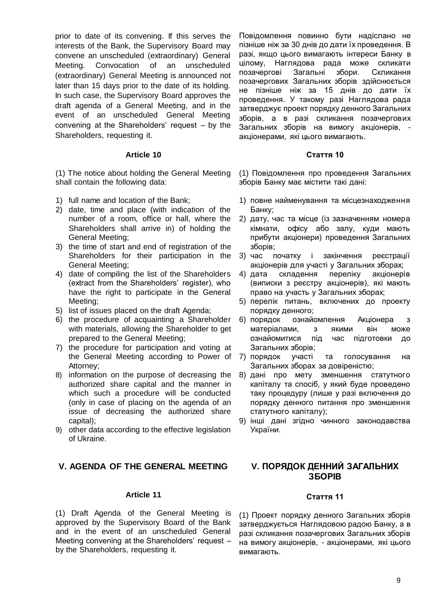prior to date of its convening. If this serves the interests of the Bank, the Supervisory Board may convene an unscheduled (extraordinary) General Meeting. Convocation of an unscheduled (extraordinary) General Meeting is announced not later than 15 days prior to the date of its holding. In such case, the Supervisory Board approves the draft agenda of a General Meeting, and in the event of an unscheduled General Meeting convening at the Shareholders' request – by the Shareholders, requesting it.

#### **Article 10**

(1) The notice about holding the General Meeting shall contain the following data:

- 1) full name and location of the Bank;
- 2) date, time and place (with indication of the number of a room, office or hall, where the Shareholders shall arrive in) of holding the General Meeting;
- 3) the time of start and end of registration of the Shareholders for their participation in the General Meeting;
- 4) date of compiling the list of the Shareholders (extract from the Shareholders' register), who have the right to participate in the General Meeting;
- 5) list of issues placed on the draft Agenda;
- 6) the procedure of acquainting a Shareholder with materials, allowing the Shareholder to get prepared to the General Meeting;
- 7) the procedure for participation and voting at the General Meeting according to Power of Attorney;
- 8) information on the purpose of decreasing the authorized share capital and the manner in which such a procedure will be conducted (only in case of placing on the agenda of an issue of decreasing the authorized share capital);
- 9) other data according to the effective legislation of Ukraine.

## **V. AGENDA OF THE GENERAL MEETING**

#### **Article 11**

(1) Draft Agenda of the General Meeting is approved by the Supervisory Board of the Bank and in the event of an unscheduled General Meeting convening at the Shareholders' request – by the Shareholders, requesting it.

Повідомлення повинно бути надіслано не пізніше ніж за 30 днів до дати їх проведення. В разі, якщо цього вимагають інтереси Банку в цілому, Наглядова рада може скликати позачергові Загальні збори. Скликання позачергових Загальних зборів здійснюється не пізніше ніж за 15 днів до дати їх проведення. У такому разі Наглядова рада затверджує проект порядку денного Загальних зборів, а в разі скликання позачергових Загальних зборів на вимогу акціонерів, акціонерами, які цього вимагають.

#### **Стаття 10**

(1) Повідомлення про проведення Загальних зборів Банку має містити такі дані:

- 1) повне найменування та місцезнаходження Банку;
- 2) дату, час та місце (із зазначенням номера кімнати, офісу або залу, куди мають прибути акціонери) проведення Загальних зборів;
- 3) час початку і закінчення реєстрації акціонерів для участі у Загальних зборах;
- 4) дата складення переліку акціонерів (виписки з реєстру акціонерів), які мають право на участь у Загальних зборах;
- 5) перелік питань, включених до проекту порядку денного;
- 6) порядок ознайомлення Акціонера з матеріалами, з якими він може ознайомитися під час підготовки до Загальних зборів;
- 7) порядок участі та голосування на Загальних зборах за довіреністю;
- 8) дані про мету зменшення статутного капіталу та спосіб, у який буде проведено таку процедуру (лише у разі включення до порядку денного питання про зменшення статутного капіталу);
- 9) інші дані згідно чинного законодавства України.

# **V. ПОРЯДОК ДЕННИЙ ЗАГАЛЬНИХ ЗБОРІВ**

#### **Стаття 11**

(1) Проект порядку денного Загальних зборів затверджується Наглядовою радою Банку, а в разі скликання позачергових Загальних зборів на вимогу акціонерів, - акціонерами, які цього вимагають.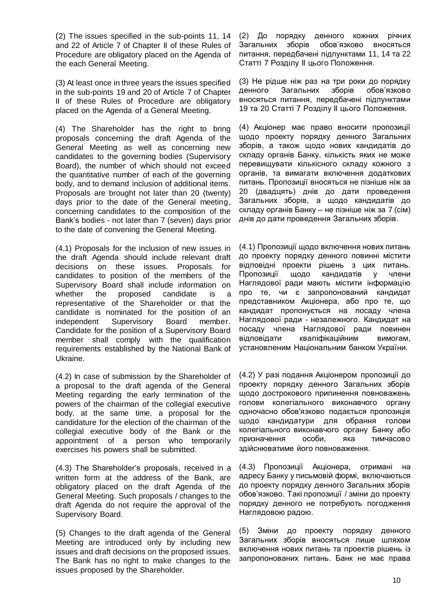(2) The issues specified in the sub-points 11, 14 and 22 of Article 7 of Chapter II of these Rules of Procedure are obligatory placed on the Agenda of the each General Meeting.

(3) At least once in three years the issues specified in the sub-points 19 and 20 of Article 7 of Chapter II of these Rules of Procedure are obligatory placed on the Agenda of a General Meeting.

(4) The Shareholder has the right to bring proposals concerning the draft Agenda of the General Meeting as well as concerning new candidates to the governing bodies (Supervisory Board), the number of which should not exceed the quantitative number of each of the governing body, and to demand inclusion of additional items. Proposals are brought not later than 20 (twenty) days prior to the date of the General meeting, concerning candidates to the composition of the Bank's bodies - not later than 7 (seven) days prior to the date of convening the General Meeting.

(4.1) Proposals for the inclusion of new issues in the draft Agenda should include relevant draft decisions on these issues. Proposals for candidates to position of the members of the Supervisory Board shall include information on whether the proposed candidate is a representative of the Shareholder or that the candidate is nominated for the position of an independent Supervisory Board member. Candidate for the position of a Supervisory Board member shall comply with the qualification requirements established by the National Bank of Ukraine.

(4.2) In case of submission by the Shareholder of a proposal to the draft agenda of the General Meeting regarding the early termination of the powers of the chairman of the collegial executive body, at the same time, a proposal for the candidature for the election of the chairman of the collegial executive body of the Bank or the appointment of a person who temporarily exercises his powers shall be submitted.

(4.3) The Shareholder's proposals, received in a written form at the address of the Bank, are obligatory placed on the draft Agenda of the General Meeting. Such proposals / changes to the draft Agenda do not require the approval of the Supervisory Board.

(5) Changes to the draft agenda of the General Meeting are introduced only by including new issues and draft decisions on the proposed issues. The Bank has no right to make changes to the issues proposed by the Shareholder.

(2) До порядку денного кожних річних Загальних зборів обов'язково вносяться питання, передбачені підпунктами 11, 14 та 22 Статті 7 Розділу ІІ цього Положення.

(3) Не рідше ніж раз на три роки до порядку денного Загальних зборів обов'язково вносяться питання, передбачені підпунктами 19 та 20 Статті 7 Розділу ІІ цього Положення.

(4) Акціонер має право вносити пропозиції щодо проекту порядку денного Загальних зборів, а також щодо нових кандидатів до складу органів Банку, кількість яких не може перевищувати кількісного складу кожного з органів, та вимагати включення додаткових питань. Пропозиції вносяться не пізніше ніж за 20 (двадцять) днів до дати проведення Загальних зборів, а щодо кандидатів до складу органів Банку – не пізніше ніж за 7 (сім) днів до дати проведення Загальних зборів.

(4.1) Пропозиції щодо включення нових питань до проекту порядку денного повинні містити відповідні проекти рішень з цих питань. Пропозиції щодо кандидатів у члени Наглядової ради мають містити інформацію про те, чи є запропонований кандидат представником Акціонера, або про те, що кандидат пропонується на посаду члена Наглядової ради - незалежного. Кандидат на посаду члена Наглядової ради повинен відповідати кваліфікаційним вимогам, установленим Національним банком України.

(4.2) У разі подання Акціонером пропозиції до проекту порядку денного Загальних зборів щодо дострокового припинення повноважень голови колегіального виконавчого органу одночасно обов'язково подається пропозиція щодо кандидатури для обрання голови колегіального виконавчого органу Банку або призначення особи, яка тимчасово здійснюватиме його повноваження.

(4.3) Пропозиції Акціонера, отримані на адресу Банку у письмовій формі, включаються до проекту порядку денного Загальних зборів обов'язково. Такі пропозиції / зміни до проекту порядку денного не потребують погодження Наглядовою радою.

(5) Зміни до проекту порядку денного Загальних зборів вносяться лише шляхом включення нових питань та проектів рішень із запропонованих питань. Банк не має права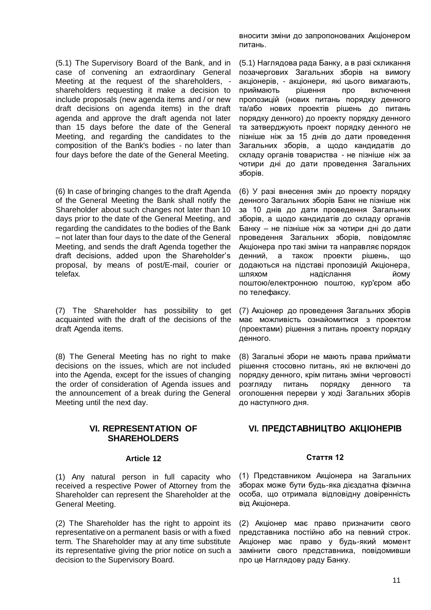(5.1) The Supervisory Board of the Bank, and in case of convening an extraordinary General Meeting at the request of the shareholders, shareholders requesting it make a decision to include proposals (new agenda items and / or new draft decisions on agenda items) in the draft agenda and approve the draft agenda not later than 15 days before the date of the General Meeting, and regarding the candidates to the composition of the Bank's bodies - no later than four days before the date of the General Meeting.

(6) In case of bringing changes to the draft Agenda of the General Meeting the Bank shall notify the Shareholder about such changes not later than 10 days prior to the date of the General Meeting, and regarding the candidates to the bodies of the Bank – not later than four days to the date of the General Meeting, and sends the draft Agenda together the draft decisions, added upon the Shareholder's proposal, by means of post/E-mail, courier or telefax.

(7) The Shareholder has possibility to get acquainted with the draft of the decisions of the draft Agenda items.

(8) The General Meeting has no right to make decisions on the issues, which are not included into the Agenda, except for the issues of changing the order of consideration of Agenda issues and the announcement of a break during the General Meeting until the next day.

## **VI. REPRESENTATION OF SHAREHOLDERS**

#### **Article 12**

(1) Any natural person in full capacity who received a respective Power of Attorney from the Shareholder can represent the Shareholder at the General Meeting.

(2) The Shareholder has the right to appoint its representative on a permanent basis or with a fixed term. The Shareholder may at any time substitute its representative giving the prior notice on such a decision to the Supervisory Board.

вносити зміни до запропонованих Акціонером питань.

(5.1) Наглядова рада Банку, а в разі скликання позачергових Загальних зборів на вимогу акціонерів, - акціонери, які цього вимагають, приймають рішення про включення пропозицій (нових питань порядку денного та/або нових проектів рішень до питань порядку денного) до проекту порядку денного та затверджують проект порядку денного не пізніше ніж за 15 днів до дати проведення Загальних зборів, а щодо кандидатів до складу органів товариства - не пізніше ніж за чотири дні до дати проведення Загальних зборів.

(6) У разі внесення змін до проекту порядку денного Загальних зборів Банк не пізніше ніж за 10 днів до дати проведення Загальних зборів, а щодо кандидатів до складу органів Банку – не пізніше ніж за чотири дні до дати проведення Загальних зборів, повідомляє Акціонера про такі зміни та направляє порядок денний, а також проекти рішень, що додаються на підставі пропозицій Акціонера, шляхом надіслання йому поштою/електронною поштою, кур'єром або по телефаксу.

(7) Акціонер до проведення Загальних зборів має можливість ознайомитися з проектом (проектами) рішення з питань проекту порядку денного.

(8) Загальні збори не мають права приймати рішення стосовно питань, які не включені до порядку денного, крім питань зміни черговості розгляду питань порядку денного оголошення перерви у ході Загальних зборів до наступного дня.

# **VI. ПРЕДСТАВНИЦТВО АКЦІОНЕРІВ**

#### **Стаття 12**

(1) Представником Акціонера на Загальних зборах може бути будь-яка дієздатна фізична особа, що отримала відповідну довіренність від Акціонера.

(2) Акціонер має право призначити свого представника постійно або на певний строк. Акціонер має право у будь-який момент замінити свого представника, повідомивши про це Наглядову раду Банку.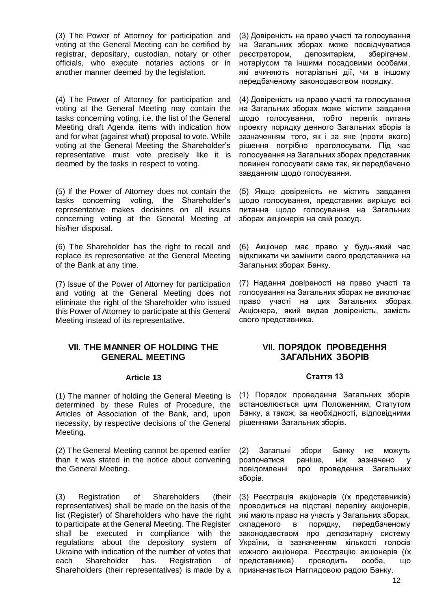(3) The Power of Attorney for participation and voting at the General Meeting can be certified by registrar, depositary, custodian, notary or other officials, who execute notaries actions or in another manner deemed by the legislation.

(4) The Power of Attorney for participation and voting at the General Meeting may contain the tasks concerning voting, i.e. the list of the General Meeting draft Agenda items with indication how and for what (against what) proposal to vote. While voting at the General Meeting the Shareholder's representative must vote precisely like it is deemed by the tasks in respect to voting.

(5) If the Power of Attorney does not contain the tasks concerning voting, the Shareholder's representative makes decisions on all issues concerning voting at the General Meeting at his/her disposal.

(6) The Shareholder has the right to recall and replace its representative at the General Meeting of the Bank at any time.

(7) Issue of the Power of Attorney for participation and voting at the General Meeting does not eliminate the right of the Shareholder who issued this Power of Attorney to participate at this General Meeting instead of its representative.

## **VІI. THE MANNER OF HOLDING THE GENERAL MEETING**

#### **Article 13**

(1) The manner of holding the General Meeting is determined by these Rules of Procedure, the Articles of Association of the Bank, and, upon necessity, by respective decisions of the General Meeting.

(2) The General Meeting cannot be opened earlier than it was stated in the notice about convening the General Meeting.

(3) Registration of Shareholders (their representatives) shall be made on the basis of the list (Register) of Shareholders who have the right to participate at the General Meeting. The Register shall be executed in compliance with the regulations about the depository system of Ukraine with indication of the number of votes that each Shareholder has. Registration of Shareholders (their representatives) is made by a

(3) Довіреність на право участі та голосування на Загальних зборах може посвідчуватися реєстратором, депозитарієм, зберігачем, нотаріусом та іншими посадовими особами, які вчиняють нотаріальні дії, чи в іншому передбаченому законодавством порядку.

(4) Довіреність на право участі та голосування на Загальних зборах може містити завдання щодо голосування, тобто перелік питань проекту порядку денного Загальних зборів із зазначенням того, як і за яке (проти якого) рішення потрібно проголосувати. Під час голосування на Загальних зборах представник повинен голосувати саме так, як передбачено завданням щодо голосування.

(5) Якщо довіреність не містить завдання щодо голосування, представник вирішує всі питання щодо голосування на Загальних зборах акціонерів на свій розсуд.

(6) Акціонер має право у будь-який час відкликати чи замінити свого представника на Загальних зборах Банку.

(7) Надання довіреності на право участі та голосування на Загальних зборах не виключає право участі на цих Загальних зборах Акціонера, який видав довіреність, замість свого представника.

## **VIІ. ПОРЯДОК ПРОВЕДЕННЯ ЗАГАЛЬНИХ ЗБОРІВ**

#### **Стаття 13**

(1) Порядок проведення Загальних зборів встановлюється цим Положенням, Статутом Банку, а також, за необхідності, відповідними рішеннями Загальних зборів.

(2) Загальні збори Банку не можуть розпочатися раніше, ніж зазначено у повідомленні про проведення Загальних зборів.

(3) Реєстрація акціонерів (їх представників) проводиться на підставі переліку акціонерів, які мають право на участь у Загальних зборах, складеного в порядку, передбаченому законодавством про депозитарну систему України, із зазначенням кількості голосів кожного акціонера. Реєстрацію акціонерів (їх представників) проводить особа, що призначається Наглядовою радою Банку.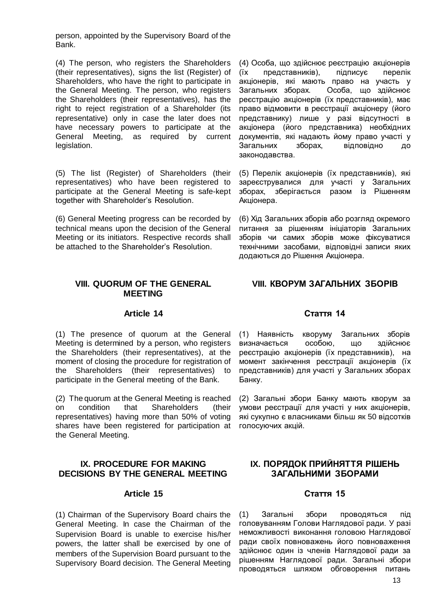person, appointed by the Supervisory Board of the Bank.

(4) The person, who registers the Shareholders (their representatives), signs the list (Register) of Shareholders, who have the right to participate in the General Meeting. The person, who registers the Shareholders (their representatives), has the right to reject registration of a Shareholder (its representative) only in case the later does not have necessary powers to participate at the General Meeting, as required by current legislation.

(5) The list (Register) of Shareholders (their representatives) who have been registered to participate at the General Meeting is safe-kept together with Shareholder's Resolution.

(6) General Meeting progress can be recorded by technical means upon the decision of the General Meeting or its initiators. Respective records shall be attached to the Shareholder's Resolution.

## **VIII. QUORUM OF THE GENERAL MEETING**

## **Article 14**

(1) The presence of quorum at the General Meeting is determined by a person, who registers the Shareholders (their representatives), at the moment of closing the procedure for registration of the Shareholders (their representatives) to participate in the General meeting of the Bank.

(2) The quorum at the General Meeting is reached on condition that Shareholders (their representatives) having more than 50% of voting shares have been registered for participation at the General Meeting.

## **IX. PROCEDURE FOR MAKING DECISIONS BY THE GENERAL MEETING**

## **Article 15**

(1) Chairman of the Supervisory Board chairs the General Meeting. In case the Chairman of the Supervision Board is unable to exercise his/her powers, the latter shall be exercised by one of members of the Supervision Board pursuant to the Supervisory Board decision. The General Meeting

(4) Особа, що здійснює реєстрацію акціонерів (їх представників), підписує перелік акціонерів, які мають право на участь у Загальних зборах. Особа, що здійснює реєстрацію акціонерів (їх представників), має право відмовити в реєстрації акціонеру (його представнику) лише у разі відсутності в акціонера (його представника) необхідних документів, які надають йому право участі у Загальних зборах, відповідно до законодавства.

(5) Перелік акціонерів (їх представників), які зареєструвалися для участі у Загальних<br>зборах, зберігається разом із Рішенням зборах, зберігається Акціонера.

(6) Хід Загальних зборів або розгляд окремого питання за рішенням ініціаторів Загальних зборів чи самих зборів може фіксуватися технічними засобами, відповідні записи яких додаються до Рішення Акціонера.

## **VIII. КВОРУМ ЗАГАЛЬНИХ ЗБОРІВ**

## **Стаття 14**

(1) Наявність кворуму Загальних зборів визначається особою, що здійснює реєстрацію акціонерів (їх представників), на момент закінчення реєстрації акціонерів (їх представників) для участі у Загальних зборах Банку.

(2) Загальні збори Банку мають кворум за умови реєстрації для участі у них акціонерів, які сукупно є власниками більш як 50 відсотків голосуючих акцій.

# **IX. ПОРЯДОК ПРИЙНЯТТЯ РІШЕНЬ ЗАГАЛЬНИМИ ЗБОРАМИ**

# **Стаття 15**

(1) Загальні збори проводяться під головуванням Голови Наглядової ради. У разі неможливості виконання головою Наглядової ради своїх повноважень його повноваження здійснює один із членів Наглядової ради за рішенням Наглядової ради. Загальні збори проводяться шляхом обговорення питань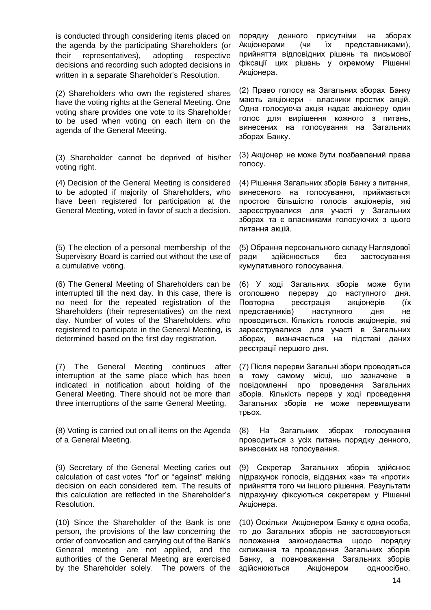is conducted through considering items placed on the agenda by the participating Shareholders (or their representatives), adopting respective decisions and recording such adopted decisions in written in a separate Shareholder's Resolution.

(2) Shareholders who own the registered shares have the voting rights at the General Meeting. One voting share provides one vote to its Shareholder to be used when voting on each item on the agenda of the General Meeting.

(3) Shareholder cannot be deprived of his/her voting right.

(4) Decision of the General Meeting is considered to be adopted if majority of Shareholders, who have been registered for participation at the General Meeting, voted in favor of such a decision.

(5) The election of a personal membership of the Supervisory Board is carried out without the use of a cumulative voting.

(6) The General Meeting of Shareholders can be interrupted till the next day. In this case, there is no need for the repeated registration of the Shareholders (their representatives) on the next day. Number of votes of the Shareholders, who registered to participate in the General Meeting, is determined based on the first day registration.

(7) The General Meeting continues after interruption at the same place which has been indicated in notification about holding of the General Meeting. There should not be more than three interruptions of the same General Meeting.

(8) Voting is carried out on all items on the Agenda of a General Meeting.

(9) Secretary of the General Meeting caries out calculation of cast votes "for" or "against" making decision on each considered item. The results of this calculation are reflected in the Shareholder's Resolution.

(10) Since the Shareholder of the Bank is one person, the provisions of the law concerning the order of convocation and carrying out of the Bank's General meeting are not applied, and the authorities of the General Meeting are exercised by the Shareholder solely. The powers of the

порядку денного присутніми на зборах Акціонерами (чи їх представниками), прийняття відповідних рішень та письмової фіксації цих рішень у окремому Рішенні Акціонера.

(2) Право голосу на Загальних зборах Банку мають акціонери - власники простих акцій. Одна голосуюча акція надає акціонеру один голос для вирішення кожного з питань, винесених на голосування на Загальних зборах Банку.

(3) Акціонер не може бути позбавлений права голосу.

(4) Рішення Загальних зборів Банку з питання, винесеного на голосування, приймається простою більшістю голосів акціонерів, які зареєструвалися для участі у Загальних зборах та є власниками голосуючих з цього питання акцій.

(5) Обрання персонального складу Наглядової ради здійснюється без застосування кумулятивного голосування.

(6) У ході Загальних зборів може бути оголошено перерву до наступного дня. Повторна реєстрація акціонерів (їх представників) наступного дня не проводиться. Кількість голосів акціонерів, які зареєструвалися для участі в Загальних зборах, визначається на підставі даних реєстрації першого дня.

(7) Після перерви Загальні збори проводяться в тому самому місці, що зазначене в повідомленні про проведення Загальних зборів. Кількість перерв у ході проведення Загальних зборів не може перевищувати трьох.

(8) На Загальних зборах голосування проводиться з усіх питань порядку денного, винесених на голосування.

(9) Секретар Загальних зборів здійснює підрахунок голосів, відданих «за» та «проти» прийняття того чи іншого рішення. Результати підрахунку фіксуються секретарем у Рішенні Акціонера.

(10) Оскільки Акціонером Банку є одна особа, то до Загальних зборів не застосовуються положення законодавства щодо порядку скликання та проведення Загальних зборів Банку, а повноваження Загальних зборів здійснюються Акціонером одноосібно.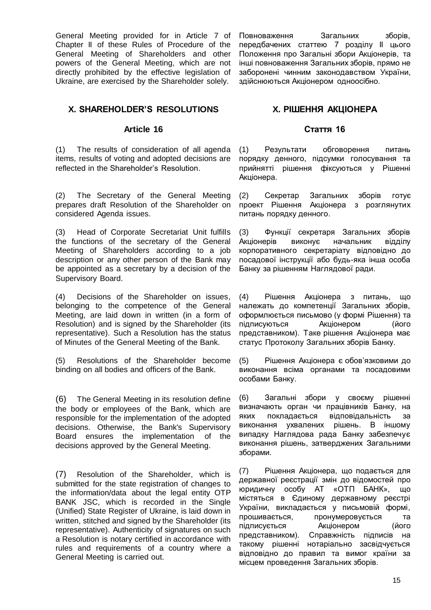General Meeting provided for in Article 7 of Chapter II of these Rules of Procedure of the General Meeting of Shareholders and other powers of the General Meeting, which are not directly prohibited by the effective legislation of Ukraine, are exercised by the Shareholder solely.

**X. SHAREHOLDER'S RESOLUTIONS**

## **Article 16**

(1) The results of consideration of all agenda items, results of voting and adopted decisions are reflected in the Shareholder's Resolution.

(2) The Secretary of the General Meeting prepares draft Resolution of the Shareholder on considered Agenda issues.

(3) Head of Corporate Secretariat Unit fulfills the functions of the secretary of the General Meeting of Shareholders according to a job description or any other person of the Bank may be appointed as a secretary by a decision of the Supervisory Board.

(4) Decisions of the Shareholder on issues, belonging to the competence of the General Meeting, are laid down in written (in a form of Resolution) and is signed by the Shareholder (its representative). Such a Resolution has the status of Minutes of the General Meeting of the Bank.

(5) Resolutions of the Shareholder become binding on all bodies and officers of the Bank.

(6) The General Meeting in its resolution define the body or employees of the Bank, which are responsible for the implementation of the adopted decisions. Otherwise, the Bank's Supervisory Board ensures the implementation of the decisions approved by the General Meeting.

(7) Resolution of the Shareholder, which is submitted for the state registration of changes to the information/data about the legal entity OTP BANK JSC, which is recorded in the Single (Unified) State Register of Ukraine, is laid down in written, stitched and signed by the Shareholder (its representative). Authenticity of signatures on such a Resolution is notary certified in accordance with rules and requirements of a country where a General Meeting is carried out.

Повноваження Загальних зборів, передбачених статтею 7 розділу ІІ цього Положення про Загальні збори Акціонерів, та інші повноваження Загальних зборів, прямо не заборонені чинним законодавством України, здійснюються Акціонером одноосібно.

# **X. РІШЕННЯ АКЦІОНЕРА**

## **Стаття 16**

(1) Результати обговорення питань порядку денного, підсумки голосування та прийнятті рішення фіксуються у Рішенні Акціонера.

(2) Секретар Загальних зборів готує проект Рішення Акціонера з розглянутих питань порядку денного.

(3) Функції секретаря Загальних зборів Акціонерів виконує начальник відділу корпоративного секретаріату відповідно до посадової інструкції або будь-яка інша особа Банку за рішенням Наглядової ради.

(4) Рішення Акціонера з питань, що належать до компетенції Загальних зборів, оформлюється письмово (у формі Рішення) та підписуються Акціонером (його представником). Таке рішення Акціонера має статус Протоколу Загальних зборів Банку.

(5) Рішення Акціонера є обов'язковими до виконання всіма органами та посадовими особами Банку.

(6) Загальні збори у своєму рішенні визначають орган чи працівників Банку, на яких покладається відповідальність за виконання ухвалених рішень. В іншому випадку Наглядова рада Банку забезпечує виконання рішень, затверджених Загальними зборами.

(7) Рішення Акціонера, що подається для державної реєстрації змін до відомостей про юридичну особу АТ «ОТП БАНК», що містяться в Єдиному державному реєстрі України, викладається у письмовій формі, прошивається, пронумеровується та підписується Акціонером (його представником). Справжність підписів на такому рішенні нотаріально засвідчується відповідно до правил та вимог країни за місцем проведення Загальних зборів.